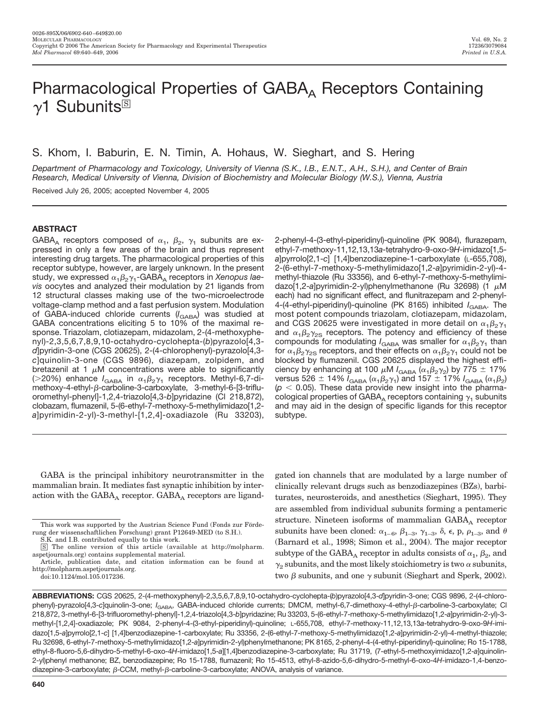# Pharmacological Properties of  $GABA_A$  Receptors Containing  $\gamma$ 1 Subunits<sup>®</sup>

S. Khom, I. Baburin, E. N. Timin, A. Hohaus, W. Sieghart, and S. Hering

*Department of Pharmacology and Toxicology, University of Vienna (S.K., I.B., E.N.T., A.H., S.H.), and Center of Brain Research, Medical University of Vienna, Division of Biochemistry and Molecular Biology (W.S.), Vienna, Austria*

Received July 26, 2005; accepted November 4, 2005

## **ABSTRACT**

GABA<sub>A</sub> receptors composed of  $\alpha_1$ ,  $\beta_2$ ,  $\gamma_1$  subunits are expressed in only a few areas of the brain and thus represent interesting drug targets. The pharmacological properties of this receptor subtype, however, are largely unknown. In the present study, we expressed  $\alpha_1\beta_2\gamma_1$ -GABA<sub>A</sub> receptors in *Xenopus laevis* oocytes and analyzed their modulation by 21 ligands from 12 structural classes making use of the two-microelectrode voltage-clamp method and a fast perfusion system. Modulation of GABA-induced chloride currents (*I<sub>GABA</sub>*) was studied at GABA concentrations eliciting 5 to 10% of the maximal response. Triazolam, clotiazepam, midazolam, 2-(4-methoxyphenyl)-2,3,5,6,7,8,9,10-octahydro-cyclohepta-(*b*)pyrazolo[4,3 *d*]pyridin-3-one (CGS 20625), 2-(4-chlorophenyl)-pyrazolo[4,3 *c*]quinolin-3-one (CGS 9896), diazepam, zolpidem, and bretazenil at 1  $\mu$ M concentrations were able to significantly (>20%) enhance  $I_{\text{GABA}}$  in  $\alpha_1\beta_2\gamma_1$  receptors. Methyl-6,7-dimethoxy-4-ethyl-β-carboline-3-carboxylate, 3-methyl-6-[3-trifluoromethyl-phenyl]-1,2,4-triazolo[4,3-*b*]pyridazine (Cl 218,872), clobazam, flumazenil, 5-(6-ethyl-7-methoxy-5-methylimidazo[1,2 *a*]pyrimidin-2-yl)-3-methyl-[1,2,4]-oxadiazole (Ru 33203), 2-phenyl-4-(3-ethyl-piperidinyl)-quinoline (PK 9084), flurazepam, ethyl-7-methoxy-11,12,13,13*a*-tetrahydro-9-oxo-9*H*-imidazo[1,5 *a*]pyrrolo[2,1-*c*] [1,4]benzodiazepine-1-carboxylate (L-655,708), 2-(6-ethyl-7-methoxy-5-methylimidazo[1,2-*a*]pyrimidin-2-yl)-4 methyl-thiazole (Ru 33356), and 6-ethyl-7-methoxy-5-methylimidazo[1,2-a]pyrimidin-2-yl)phenylmethanone (Ru 32698) (1 μM each) had no significant effect, and flunitrazepam and 2-phenyl-4-(4-ethyl-piperidinyl)-quinoline (PK 8165) inhibited *I*<sub>GABA</sub>. The most potent compounds triazolam, clotiazepam, midazolam, and CGS 20625 were investigated in more detail on  $\alpha_1\beta_2\gamma_1$ and  $\alpha_1\beta_2\gamma_{2S}$  receptors. The potency and efficiency of these compounds for modulating  $I_{\text{GABA}}$  was smaller for  $\alpha_1\beta_2\gamma_1$  than for  $\alpha_1\beta_2\gamma_{2S}$  receptors, and their effects on  $\alpha_1\beta_2\gamma_1$  could not be blocked by flumazenil. CGS 20625 displayed the highest efficiency by enhancing at 100  $\mu$ M  $I_{\text{GABA}}$  ( $\alpha_1 \beta_2 \gamma_2$ ) by 775  $\pm$  17% versus 526  $\pm$  14%  $I_\mathrm{GABA}\left(\alpha_{1}\beta_{2}\gamma_{1}\right)$  and 157  $\pm$  17%  $I_\mathrm{GABA}\left(\alpha_{1}\beta_{2}\right)$  $(p < 0.05)$ . These data provide new insight into the pharmacological properties of GABA<sub>A</sub> receptors containing  $\gamma_1$  subunits and may aid in the design of specific ligands for this receptor subtype.

GABA is the principal inhibitory neurotransmitter in the mammalian brain. It mediates fast synaptic inhibition by interaction with the  $GABA_A$  receptor.  $GABA_A$  receptors are ligand-

S.K. and I.B. contributed equally to this work.

gated ion channels that are modulated by a large number of clinically relevant drugs such as benzodiazepines (BZs), barbiturates, neurosteroids, and anesthetics (Sieghart, 1995). They are assembled from individual subunits forming a pentameric structure. Nineteen isoforms of mammalian  $GABA_A$  receptor subunits have been cloned:  $\alpha_{1-6}$ ,  $\beta_{1-3}$ ,  $\gamma_{1-3}$ ,  $\delta$ ,  $\epsilon$ , p,  $\rho_{1-3}$ , and  $\theta$ (Barnard et al., 1998; Simon et al., 2004). The major receptor subtype of the GABA<sub>A</sub> receptor in adults consists of  $\alpha_1$ ,  $\beta_2$ , and  $\gamma_2$  subunits, and the most likely stoichiometry is two  $\alpha$  subunits, two  $\beta$  subunits, and one  $\gamma$  subunit (Sieghart and Sperk, 2002).

**ABBREVIATIONS:** CGS 20625, 2-(4-methoxyphenyl)-2,3,5,6,7,8,9,10-octahydro-cyclohepta-(*b*)pyrazolo[4,3-*d*]pyridin-3-one; CGS 9896, 2-(4-chlorophenyl)-pyrazolo[4,3-c]quinolin-3-one; *I<sub>GABA</sub>*, GABA-induced chloride currents; DMCM, methyl-6,7-dimethoxy-4-ethyl- $\beta$ -carboline-3-carboxylate; Cl 218,872, 3-methyl-6-[3-trifluoromethyl-phenyl]-1,2,4-triazolo[4,3-*b*]pyridazine; Ru 33203, 5-(6-ethyl-7-methoxy-5-methylimidazo[1,2-*a*]pyrimidin-2-yl)-3 methyl-[1,2,4]-oxadiazole; PK 9084, 2-phenyl-4-(3-ethyl-piperidinyl)-quinoline; L-655,708, ethyl-7-methoxy-11,12,13,13*a*-tetrahydro-9-oxo-9*H*-imidazo[1,5-*a*]pyrrolo[2,1-*c*] [1,4]benzodiazepine-1-carboxylate; Ru 33356, 2-(6-ethyl-7-methoxy-5-methylimidazo[1,2-*a*]pyrimidin-2-yl)-4-methyl-thiazole; Ru 32698, 6-ethyl-7-methoxy-5-methylimidazo[1,2-*a*]pyrimidin-2-yl)phenylmethanone; PK 8165, 2-phenyl-4-(4-ethyl-piperidinyl)-quinoline; Ro 15-1788, ethyl-8-fluoro-5,6-dihydro-5-methyl-6-oxo-4*H*-imidazo[1,5-*a*][1,4]benzodiazepine-3-carboxylate; Ru 31719, (7-ethyl-5-methoxyimidazo[1,2-*a*]quinolin-2-yl)phenyl methanone; BZ, benzodiazepine; Ro 15-1788, flumazenil; Ro 15-4513, ethyl-8-azido-5,6-dihydro-5-methyl-6-oxo-4*H*-imidazo-1,4-benzodiazepine-3-carboxylate;  $\beta$ -CCM, methyl- $\beta$ -carboline-3-carboxylate; ANOVA, analysis of variance.

This work was supported by the Austrian Science Fund (Fonds zur Förderung der wissenschaftlichen Forschung) grant P12649-MED (to S.H.).

<sup>□</sup>S The online version of this article (available at http://molpharm. aspetjournals.org) contains supplemental material.

Article, publication date, and citation information can be found at http://molpharm.aspetjournals.org.

doi:10.1124/mol.105.017236.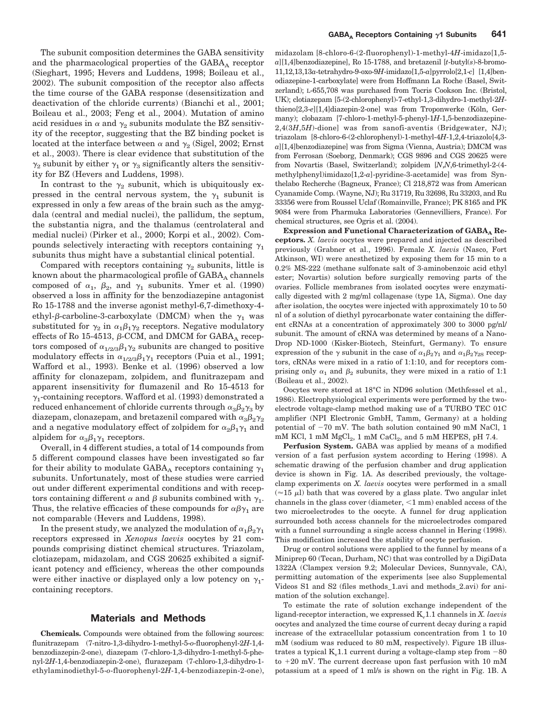The subunit composition determines the GABA sensitivity and the pharmacological properties of the  $GABA_A$  receptor (Sieghart, 1995; Hevers and Luddens, 1998; Boileau et al., 2002). The subunit composition of the receptor also affects the time course of the GABA response (desensitization and deactivation of the chloride currents) (Bianchi et al., 2001; Boileau et al., 2003; Feng et al., 2004). Mutation of amino acid residues in  $\alpha$  and  $\gamma_2$  subunits modulate the BZ sensitivity of the receptor, suggesting that the BZ binding pocket is located at the interface between  $\alpha$  and  $\gamma_2$  (Sigel, 2002; Ernst et al., 2003). There is clear evidence that substitution of the  $\gamma_2$  subunit by either  $\gamma_1$  or  $\gamma_3$  significantly alters the sensitivity for BZ (Hevers and Luddens, 1998).

In contrast to the  $\gamma_2$  subunit, which is ubiquitously expressed in the central nervous system, the  $\gamma_1$  subunit is expressed in only a few areas of the brain such as the amygdala (central and medial nuclei), the pallidum, the septum, the substantia nigra, and the thalamus (centrolateral and medial nuclei) (Pirker et al., 2000; Korpi et al., 2002). Compounds selectively interacting with receptors containing  $\gamma_1$ subunits thus might have a substantial clinical potential.

Compared with receptors containing  $\gamma_2$  subunits, little is known about the pharmacological profile of  $GABA_A$  channels composed of  $\alpha_1$ ,  $\beta_2$ , and  $\gamma_1$  subunits. Ymer et al. (1990) observed a loss in affinity for the benzodiazepine antagonist Ro 15-1788 and the inverse agonist methyl-6,7-dimethoxy-4 ethyl- $\beta$ -carboline-3-carboxylate (DMCM) when the  $\gamma_1$  was substituted for  $\gamma_2$  in  $\alpha_1\beta_1\gamma_2$  receptors. Negative modulatory effects of Ro 15-4513,  $\beta$ -CCM, and DMCM for GABA<sub>A</sub> receptors composed of  $\alpha_{1/2/3}\beta_1\gamma_2$  subunits are changed to positive modulatory effects in  $\alpha_{1/2/3}\beta_1\gamma_1$  receptors (Puia et al., 1991; Wafford et al., 1993). Benke et al. (1996) observed a low affinity for clonazepam, zolpidem, and flunitrazepam and apparent insensitivity for flumazenil and Ro 15-4513 for  $\gamma_1$ -containing receptors. Wafford et al. (1993) demonstrated a reduced enhancement of chloride currents through  $\alpha_{3}\beta_{2}\gamma_{3}$  by diazepam, clonazepam, and bretazenil compared with  $\alpha_{3}\beta_{2}\gamma_{2}$ and a negative modulatory effect of zolpidem for  $\alpha_2\beta_1\gamma_1$  and alpidem for  $\alpha_3\beta_1\gamma_1$  receptors.

Overall, in 4 different studies, a total of 14 compounds from 5 different compound classes have been investigated so far for their ability to modulate GABA<sub>A</sub> receptors containing  $\gamma_1$ subunits. Unfortunately, most of these studies were carried out under different experimental conditions and with receptors containing different  $\alpha$  and  $\beta$  subunits combined with  $\gamma_1$ . Thus, the relative efficacies of these compounds for  $\alpha\beta\gamma_1$  are not comparable (Hevers and Luddens, 1998).

In the present study, we analyzed the modulation of  $\alpha_1\beta_2\gamma_1$ receptors expressed in *Xenopus laevis* oocytes by 21 compounds comprising distinct chemical structures. Triazolam, clotiazepam, midazolam, and CGS 20625 exhibited a significant potency and efficiency, whereas the other compounds were either inactive or displayed only a low potency on  $\gamma_1$ containing receptors.

#### **Materials and Methods**

**Chemicals.** Compounds were obtained from the following sources: flunitrazepam (7-nitro-1,3-dihydro-1-methyl-5-*o*-fluorophenyl-2*H*-1,4 benzodiazepin-2-one), diazepam (7-chloro-1,3-dihydro-1-methyl-5-phenyl-2*H*-1,4-benzodiazepin-2-one), flurazepam (7-chloro-1,3-dihydro-1 ethylaminodiethyl-5-*o*-fluorophenyl-2*H*-1,4-benzodiazepin-2-one), midazolam [8-chloro-6-(2-fluorophenyl)-1-methyl-4*H*-imidazo[1,5 *a*][1,4]benzodiazepine], Ro 15-1788, and bretazenil [*t*-butyl(*s*)-8-bromo-11,12,13,13*a*-tetrahydro-9-oxo-9*H*-imidazo[1,5-*a*]pyrrolo[2,1-*c*] [1,4]benodiazepine-1-carboxylate] were from Hoffmann La Roche (Basel, Switzerland); L-655,708 was purchased from Tocris Cookson Inc. (Bristol, UK); clotiazepam [5-(2-chlorophenyl)-7-ethyl-1,3-dihydro-1-methyl-2*H*thieno[2,3-*e*][1,4]diazepin-2-one] was from Troponwerke (Köln, Germany); clobazam [7-chloro-1-methyl-5-phenyl-1*H*-1,5-benzodiazepine-2,4(3*H*,5*H*)-dione] was from sanofi-aventis (Bridgewater, NJ); triazolam [8-chloro-6-(2-chlorophenyl)-1-methyl-4*H*-1,2,4-triazolo[4,3 *a*][1,4]benzodiazepine] was from Sigma (Vienna, Austria); DMCM was from Ferrosan (Soeborg, Denmark); CGS 9896 and CGS 20625 were from Novartis (Basel, Switzerland); zolpidem [*N*,*N*,6-trimethyl-2-(4 methylphenyl)imidazo[1,2-*a*]-pyridine-3-acetamide] was from Synthelabo Recherche (Bagneux, France); Cl 218,872 was from American Cyanamide Comp. (Wayne, NJ); Ru 31719, Ru 32698, Ru 33203, and Ru 33356 were from Roussel Uclaf (Romainville, France); PK 8165 and PK 9084 were from Pharmuka Laboratories (Gennevilliers, France). For chemical structures, see Ogris et al. (2004).

Expression and Functional Characterization of GABA<sub>A</sub> Re**ceptors.** *X. laevis* oocytes were prepared and injected as described previously (Grabner et al., 1996). Female *X. laevis* (Nasco, Fort Atkinson, WI) were anesthetized by exposing them for 15 min to a 0.2% MS-222 (methane sulfonate salt of 3-aminobenzoic acid ethyl ester; Novartis) solution before surgically removing parts of the ovaries. Follicle membranes from isolated oocytes were enzymatically digested with 2 mg/ml collagenase (type 1A, Sigma). One day after isolation, the oocytes were injected with approximately 10 to 50 nl of a solution of diethyl pyrocarbonate water containing the different cRNAs at a concentration of approximately 300 to 3000 pg/nl/ subunit. The amount of cRNA was determined by means of a Nano-Drop ND-1000 (Kisker-Biotech, Steinfurt, Germany). To ensure expression of the  $\gamma$  subunit in the case of  $\alpha_1\beta_2\gamma_1$  and  $\alpha_1\beta_2\gamma_2$  receptors, cRNAs were mixed in a ratio of 1:1:10, and for receptors comprising only  $\alpha_1$  and  $\beta_2$  subunits, they were mixed in a ratio of 1:1 (Boileau et al., 2002).

Oocytes were stored at 18°C in ND96 solution (Methfessel et al., 1986). Electrophysiological experiments were performed by the twoelectrode voltage-clamp method making use of a TURBO TEC 01C amplifier (NPI Electronic GmbH, Tamm, Germany) at a holding potential of  $-70$  mV. The bath solution contained 90 mM NaCl, 1 mM KCl, 1 mM  $MgCl<sub>2</sub>$ , 1 mM  $CaCl<sub>2</sub>$ , and 5 mM HEPES, pH 7.4.

**Perfusion System.** GABA was applied by means of a modified version of a fast perfusion system according to Hering (1998). A schematic drawing of the perfusion chamber and drug application device is shown in Fig. 1A. As described previously, the voltageclamp experiments on *X. laevis* oocytes were performed in a small  $(\approx 15 \mu l)$  bath that was covered by a glass plate. Two angular inlet channels in the glass cover (diameter,  $\leq 1$  mm) enabled access of the two microelectrodes to the oocyte. A funnel for drug application surrounded both access channels for the microelectrodes compared with a funnel surrounding a single access channel in Hering (1998). This modification increased the stability of oocyte perfusion.

Drug or control solutions were applied to the funnel by means of a Miniprep 60 (Tecan, Durham, NC) that was controlled by a DigiData 1322A (Clampex version 9.2; Molecular Devices, Sunnyvale, CA), permitting automation of the experiments [see also Supplemental Videos S1 and S2 (files methods\_1.avi and methods\_2.avi) for animation of the solution exchange].

To estimate the rate of solution exchange independent of the ligand-receptor interaction, we expressed K<sub>v</sub>1.1 channels in *X. laevis* oocytes and analyzed the time course of current decay during a rapid increase of the extracellular potassium concentration from 1 to 10 mM (sodium was reduced to 80 mM, respectively). Figure 1B illustrates a typical  $K_v1.1$  current during a voltage-clamp step from  $-80$ to  $+20$  mV. The current decrease upon fast perfusion with 10 mM potassium at a speed of 1 ml/s is shown on the right in Fig. 1B. A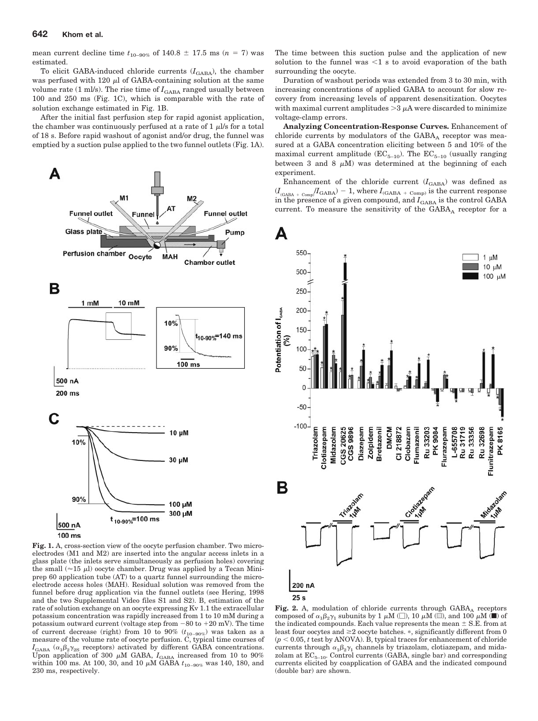mean current decline time  $t_{10-90\%}$  of  $140.8 \pm 17.5$  ms ( $n = 7$ ) was estimated.

To elicit GABA-induced chloride currents  $(I_{\text{GABA}})$ , the chamber was perfused with 120  $\mu$ l of GABA-containing solution at the same volume rate  $(1 \text{ ml/s})$ . The rise time of  $I_{\text{GABA}}$  ranged usually between 100 and 250 ms (Fig. 1C), which is comparable with the rate of solution exchange estimated in Fig. 1B.

After the initial fast perfusion step for rapid agonist application, the chamber was continuously perfused at a rate of  $1 \mu$ I/s for a total of 18 s. Before rapid washout of agonist and/or drug, the funnel was emptied by a suction pulse applied to the two funnel outlets (Fig. 1A).



**Fig. 1.** A, cross-section view of the oocyte perfusion chamber. Two microelectrodes (M1 and M2) are inserted into the angular access inlets in a glass plate (the inlets serve simultaneously as perfusion holes) covering the small  $(\approx 15 \mu l)$  oocyte chamber. Drug was applied by a Tecan Miniprep 60 application tube (AT) to a quartz funnel surrounding the microelectrode access holes (MAH). Residual solution was removed from the funnel before drug application via the funnel outlets (see Hering, 1998 and the two Supplemental Video files S1 and S2). B, estimation of the rate of solution exchange on an oocyte expressing Kv 1.1 the extracellular potassium concentration was rapidly increased from 1 to 10 mM during a potassium outward current (voltage step from  $-80$  to  $+20$  mV). The time of current decrease (right) from 10 to 90%  $(t_{10-90\%})$  was taken as a measure of the volume rate of oocyte perfusion. C, typical time courses of  $I_{\text{GABA}}$  ( $\alpha_1\beta_2\gamma_{2S}$  receptors) activated by different GABA concentrations. Upon application of 300  $\mu$ M GABA,  $I_{\text{GABA}}$  increased from 10 to 90% within 100 ms. At 100, 30, and 10  $\mu$ M GABA  $t_{10-90\%}$  was 140, 180, and 230 ms, respectively.

The time between this suction pulse and the application of new solution to the funnel was  $\leq 1$  s to avoid evaporation of the bath surrounding the oocyte.

Duration of washout periods was extended from 3 to 30 min, with increasing concentrations of applied GABA to account for slow recovery from increasing levels of apparent desensitization. Oocytes with maximal current amplitudes  $>3 \mu A$  were discarded to minimize voltage-clamp errors.

**Analyzing Concentration-Response Curves.** Enhancement of chloride currents by modulators of the  $GABA_A$  receptor was measured at a GABA concentration eliciting between 5 and 10% of the maximal current amplitude ( $EC_{5-10}$ ). The  $EC_{5-10}$  (usually ranging between 3 and 8  $\mu$ M) was determined at the beginning of each experiment.

Enhancement of the chloride current  $(I<sub>GABA</sub>)$  was defined as  $(I_{_{\rm (GABA~+~Comp)}}/I_{\rm GABA})=1,$  where  $I_{_{\rm (GABA~+~Comp)}}$  is the current response in the presence of a given compound, and  $I_\mathrm{GABA}$  is the control GABA current. To measure the sensitivity of the GABAA receptor for a



**Fig. 2.** A, modulation of chloride currents through  $GABA$ <sub>A</sub> receptors composed of  $\alpha_1\beta_2\gamma_1$  subunits by 1  $\mu$ M ( $\Box$ ), 10  $\mu$ M ( $\Box$ ), and 100  $\mu$ M ( $\Box$ ) of the indicated compounds. Each value represents the mean  $\pm$  S.E. from at least four oocytes and  $\geq 2$  oocyte batches.  $*$ , significantly different from 0  $(p < 0.05, t \text{ test by ANOVA})$ . B, typical traces for enhancement of chloride currents through  $\alpha_1\beta_2\gamma_1$  channels by triazolam, clotiazepam, and midazolam at  $EC_{5-10}$ . Control currents (GABA, single bar) and corresponding currents elicited by coapplication of GABA and the indicated compound (double bar) are shown.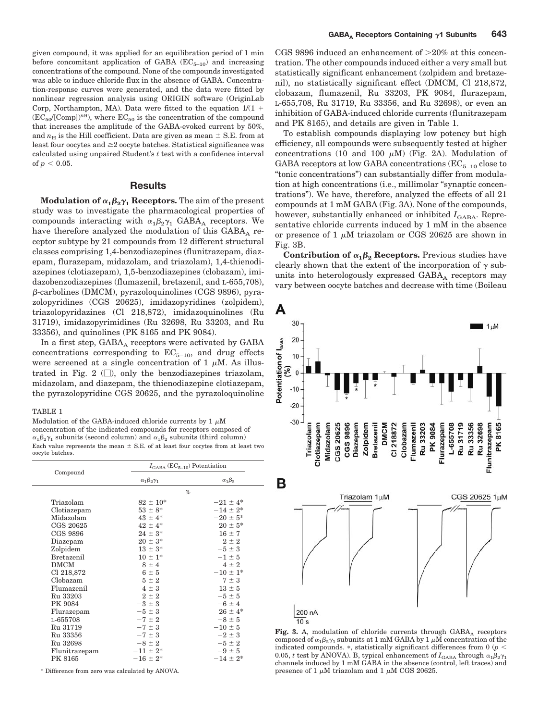given compound, it was applied for an equilibration period of 1 min before concomitant application of GABA  $(EC_{5-10})$  and increasing concentrations of the compound. None of the compounds investigated was able to induce chloride flux in the absence of GABA. Concentration-response curves were generated, and the data were fitted by nonlinear regression analysis using ORIGIN software (OriginLab Corp, Northampton, MA). Data were fitted to the equation  $1/(1 +$  $(EC_{50}/[Comp])<sup>n</sup>$ , where  $EC_{50}$  is the concentration of the compound that increases the amplitude of the GABA-evoked current by 50%, and  $n_{\rm H}$  is the Hill coefficient. Data are given as mean  $\pm$  S.E. from at least four oocytes and  $\geq 2$  oocyte batches. Statistical significance was calculated using unpaired Student's *t* test with a confidence interval of  $p < 0.05$ .

## **Results**

 $\mathbf{Modulation\ of\ }\alpha_{1}\beta_{2}\gamma_{1}\ \mathbf{Receptors.}$  The aim of the present study was to investigate the pharmacological properties of compounds interacting with  $\alpha_1\beta_2\gamma_1$  GABA<sub>A</sub> receptors. We have therefore analyzed the modulation of this  $GABA_A$  receptor subtype by 21 compounds from 12 different structural classes comprising 1,4-benzodiazepines (flunitrazepam, diazepam, flurazepam, midazolam, and triazolam), 1,4-thienodiazepines (clotiazepam), 1,5-benzodiazepines (clobazam), imidazobenzodiazepines (flumazenil, bretazenil, and L-655,708),  $\beta$ -carbolines (DMCM), pyrazoloquinolines (CGS 9896), pyrazolopyridines (CGS 20625), imidazopyridines (zolpidem), triazolopyridazines (Cl 218,872), imidazoquinolines (Ru 31719), imidazopyrimidines (Ru 32698, Ru 33203, and Ru 33356), and quinolines (PK 8165 and PK 9084).

In a first step,  $GABA_A$  receptors were activated by  $GABA$ concentrations corresponding to  $EC_{5-10}$ , and drug effects were screened at a single concentration of 1  $\mu$ M. As illustrated in Fig. 2  $(\Box)$ , only the benzodiazepines triazolam, midazolam, and diazepam, the thienodiazepine clotiazepam, the pyrazolopyridine CGS 20625, and the pyrazoloquinoline

#### TABLE 1

Modulation of the GABA-induced chloride currents by  $1 \mu M$ concentration of the indicated compounds for receptors composed of  $\alpha_1 \beta_2 \gamma_1$  subunits (second column) and  $\alpha_1 \beta_2$  subunits (third column) Each value represents the mean  $\pm$  S.E. of at least four oocytes from at least two oocyte batches.

|               | $I_{\text{GABA}}$ (EC <sub>5-10</sub> ) Potentiation |                   |  |  |
|---------------|------------------------------------------------------|-------------------|--|--|
| Compound      | $\alpha_1\beta_2\gamma_1$                            | $\alpha_1\beta_2$ |  |  |
|               | $\%$                                                 |                   |  |  |
| Triazolam     | $82 \pm 10^*$                                        | $-21 \pm 4^*$     |  |  |
| Clotiazepam   | $53 \pm 8^*$                                         | $-14 \pm 2^*$     |  |  |
| Midazolam     | $43 \pm 4^*$                                         | $-20 \pm 5^*$     |  |  |
| CGS 20625     | $42 \pm 4^*$                                         | $20 \pm 5^*$      |  |  |
| CGS 9896      | $24 \pm 3^*$                                         | $16 \pm 7$        |  |  |
| Diazepam      | $20 \pm 3^*$                                         | $2 \pm 2$         |  |  |
| Zolpidem      | $13 \pm 3^*$                                         | $-5 \pm 3$        |  |  |
| Bretazenil    | $10 \pm 1^*$                                         | $-1 \pm 5$        |  |  |
| <b>DMCM</b>   | $8 \pm 4$                                            | $4 \pm 2$         |  |  |
| Cl 218,872    | $6 \pm 5$                                            | $-10 \pm 1^*$     |  |  |
| Clobazam      | $5 \pm 2$                                            | $7 \pm 3$         |  |  |
| Flumazenil    | $4 \pm 3$                                            | $13 \pm 5$        |  |  |
| Ru 33203      | $2 \pm 2$                                            | $-5 \pm 5$        |  |  |
| PK 9084       | $-3 \pm 3$                                           | $-6 \pm 4$        |  |  |
| Flurazepam    | $-5 \pm 3$                                           | $26 \pm 4^*$      |  |  |
| L-655708      | $-7 \pm 2$                                           | $-8 \pm 5$        |  |  |
| Ru 31719      | $-7 \pm 3$                                           | $-10 \pm 5$       |  |  |
| Ru 33356      | $-7 \pm 3$                                           | $-2 \pm 3$        |  |  |
| Ru 32698      | $-8 \pm 2$                                           | $-5 \pm 2$        |  |  |
| Flunitrazepam | $-11 \pm 2^*$                                        | $-9 \pm 5$        |  |  |
| PK 8165       | $-16 \pm 2^{*}$                                      | $-14 \pm 2^*$     |  |  |

\* Difference from zero was calculated by ANOVA.

CGS 9896 induced an enhancement of  $>20\%$  at this concentration. The other compounds induced either a very small but statistically significant enhancement (zolpidem and bretazenil), no statistically significant effect (DMCM, Cl 218,872, clobazam, flumazenil, Ru 33203, PK 9084, flurazepam, L-655,708, Ru 31719, Ru 33356, and Ru 32698), or even an inhibition of GABA-induced chloride currents (flunitrazepam and PK 8165), and details are given in Table 1.

To establish compounds displaying low potency but high efficiency, all compounds were subsequently tested at higher concentrations (10 and 100  $\mu$ M) (Fig. 2A). Modulation of GABA receptors at low GABA concentrations  $(EC_{5-10})$  close to "tonic concentrations") can substantially differ from modulation at high concentrations (i.e., millimolar "synaptic concentrations"). We have, therefore, analyzed the effects of all 21 compounds at 1 mM GABA (Fig. 3A). None of the compounds, however, substantially enhanced or inhibited  $I_{\text{GABA}}$ . Representative chloride currents induced by 1 mM in the absence or presence of 1  $\mu$ M triazolam or CGS 20625 are shown in Fig. 3B.

**Contribution of**  $\alpha_1 \beta_2$  **Receptors.** Previous studies have clearly shown that the extent of the incorporation of  $\gamma$  subunits into heterologously expressed  $GABA_A$  receptors may vary between oocyte batches and decrease with time (Boileau



Fig. 3. A, modulation of chloride currents through  $GABA_A$  receptors composed of  $\alpha_1\beta_2\gamma_1$  subunits at 1 mM GABA by 1  $\mu$ M concentration of the indicated compounds.  $*$ , statistically significant differences from 0 ( $p <$ 0.05, *t* test by ANOVA). B, typical enhancement of  $I_{\text{GABA}}$  through  $\alpha_1 \beta_2 \gamma_1$ channels induced by 1 mM GABA in the absence (control, left traces) and presence of 1  $\mu$ M triazolam and 1  $\mu$ M CGS 20625.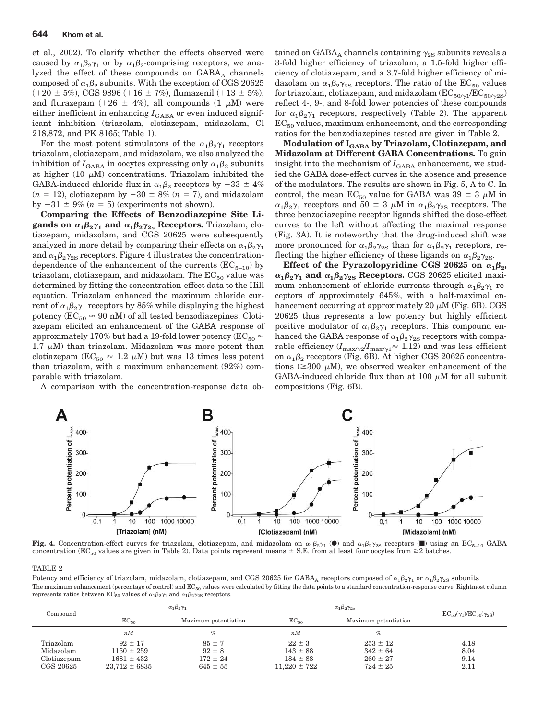et al., 2002). To clarify whether the effects observed were caused by  $\alpha_1\beta_2\gamma_1$  or by  $\alpha_1\beta_2$ -comprising receptors, we analyzed the effect of these compounds on  $GABA_A$  channels composed of  $\alpha_1\beta_2$  subunits. With the exception of CGS 20625  $(+20 \pm 5\%), \text{CGS } 9896 (+16 \pm 7\%), \text{flumazenil } (+13 \pm 5\%),$ and flurazepam  $(+26 \pm 4\%)$ , all compounds  $(1 \mu M)$  were either inefficient in enhancing  $I_{\text{GABA}}$  or even induced significant inhibition (triazolam, clotiazepam, midazolam, Cl 218,872, and PK 8165; Table 1).

For the most potent stimulators of the  $\alpha_1\beta_2\gamma_1$  receptors triazolam, clotiazepam, and midazolam, we also analyzed the inhibition of  $I_{\text{GABA}}$  in oocytes expressing only  $\alpha_1\beta_2$  subunits at higher (10  $\mu$ M) concentrations. Triazolam inhibited the GABA-induced chloride flux in  $\alpha_1\beta_2$  receptors by  $-33 \pm 4\%$  $(n = 12)$ , clotiazepam by  $-30 \pm 8\%$   $(n = 7)$ , and midazolam by  $-31 \pm 9\%$   $(n = 5)$  (experiments not shown).

**Comparing the Effects of Benzodiazepine Site Ligands on**  $\alpha_1 \beta_2 \gamma_1$  **and**  $\alpha_1 \beta_2 \gamma_2$  **Receptors.** Triazolam, clotiazepam, midazolam, and CGS 20625 were subsequently analyzed in more detail by comparing their effects on  $\alpha_1\beta_2\gamma_1$ and  $\alpha_1\beta_2\gamma_{2S}$  receptors. Figure 4 illustrates the concentrationdependence of the enhancement of the currents  $(EC_{5-10})$  by triazolam, clotiazepam, and midazolam. The  $EC_{50}$  value was determined by fitting the concentration-effect data to the Hill equation. Triazolam enhanced the maximum chloride current of  $\alpha_1\beta_2\gamma_1$  receptors by 85% while displaying the highest potency ( $EC_{50} \approx 90$  nM) of all tested benzodiazepines. Clotiazepam elicited an enhancement of the GABA response of approximately 170% but had a 19-fold lower potency ( $EC_{50} \approx$ 1.7  $\mu$ M) than triazolam. Midazolam was more potent than clotiazepam ( $EC_{50} \approx 1.2 \mu M$ ) but was 13 times less potent than triazolam, with a maximum enhancement (92%) comparable with triazolam.

A comparison with the concentration-response data ob-

tained on GABA<sub>A</sub> channels containing  $\gamma_{2S}$  subunits reveals a 3-fold higher efficiency of triazolam, a 1.5-fold higher efficiency of clotiazepam, and a 3.7-fold higher efficiency of midazolam on  $\alpha_1\beta_2\gamma_{2\mathrm{S}}$  receptors. The ratio of the  $\mathrm{EC}_{50}$  values for triazolam, clotiazepam, and midazolam  $(EC_{50/\gamma} / EC_{50/\gamma 2S})$ reflect 4-, 9-, and 8-fold lower potencies of these compounds for  $\alpha_1\beta_2\gamma_1$  receptors, respectively (Table 2). The apparent  $EC_{50}$  values, maximum enhancement, and the corresponding ratios for the benzodiazepines tested are given in Table 2.

**Modulation of IGABA by Triazolam, Clotiazepam, and Midazolam at Different GABA Concentrations.** To gain insight into the mechanism of  $I_{\text{GABA}}$  enhancement, we studied the GABA dose-effect curves in the absence and presence of the modulators. The results are shown in Fig. 5, A to C. In control, the mean  $EC_{50}$  value for GABA was 39  $\pm$  3  $\mu$ M in  $\alpha_1\beta_2\gamma_1$  receptors and  $50 \pm 3$   $\mu$ M in  $\alpha_1\beta_2\gamma_{2S}$  receptors. The three benzodiazepine receptor ligands shifted the dose-effect curves to the left without affecting the maximal response (Fig. 3A). It is noteworthy that the drug-induced shift was more pronounced for  $\alpha_1\beta_2\gamma_{2S}$  than for  $\alpha_1\beta_2\gamma_1$  receptors, reflecting the higher efficiency of these ligands on  $\alpha_1\beta_2\gamma_{2S}$ .

Effect of the Pyrazolopyridine CGS 20625 on  $\alpha_1\beta_2$ ,  $\alpha_1 \beta_2 \gamma_1$  and  $\alpha_1 \beta_2 \gamma_{2S}$  Receptors. CGS 20625 elicited maximum enhancement of chloride currents through  $\alpha_1\beta_2\gamma_1$  receptors of approximately 645%, with a half-maximal enhancement occurring at approximately 20  $\mu$ M (Fig. 6B). CGS 20625 thus represents a low potency but highly efficient positive modulator of  $\alpha_1\beta_2\gamma_1$  receptors. This compound enhanced the GABA response of  $\alpha_1\beta_2\gamma_{2{\rm S}}$  receptors with comparable efficiency  $(I_{\text{max/2}}/I_{\text{max/2}} \approx 1.12)$  and was less efficient on  $\alpha_1\beta_2$  receptors (Fig. 6B). At higher CGS 20625 concentrations ( $\geq 300 \mu M$ ), we observed weaker enhancement of the GABA-induced chloride flux than at 100  $\mu$ M for all subunit compositions (Fig. 6B).



**Fig. 4.** Concentration-effect curves for triazolam, clotiazepam, and midazolam on  $\alpha_1\beta_2\gamma_1$  ( $\bullet$ ) and  $\alpha_1\beta_2\gamma_2$  receptors ( $\blacksquare$ ) using an EC<sub>5–10</sub> GABA concentration (EC<sub>50</sub> values are given in Table 2). Data points represent means  $\pm$  S.E. from at least four oocytes from  $\geq$ 2 batches.

#### TABLE 2

Potency and efficiency of triazolam, midazolam, clotiazepam, and CGS 20625 for GABA<sub>A</sub> receptors composed of  $\alpha_1\beta_2\gamma_1$  or  $\alpha_1\beta_2\gamma_{2S}$  subunits The maximum enhancement (percentage of control) and EC<sub>50</sub> values were calculated by fitting the data points to a standard concentration-response curve. Rightmost column represents ratios between  $EC_{50}$  values of  $\alpha_1\beta_2\gamma_1$  and  $\alpha_1\beta_2\gamma_{2S}$  receptors.

| Compound                                           | $\alpha_1\beta_2\gamma_1$                                            |                                                          | $\alpha_1\beta_2\gamma_{2s}$                                   |                                                              |                                          |
|----------------------------------------------------|----------------------------------------------------------------------|----------------------------------------------------------|----------------------------------------------------------------|--------------------------------------------------------------|------------------------------------------|
|                                                    | $EC_{50}$                                                            | Maximum potentiation                                     | $EC_{50}$                                                      | Maximum potentiation                                         | $EC_{50}(\gamma_1)/EC_{50}(\gamma_{2S})$ |
|                                                    | nM                                                                   | $\%$                                                     | nM                                                             | $\%$                                                         |                                          |
| Triazolam<br>Midazolam<br>Clotiazepam<br>CGS 20625 | $92 \pm 17$<br>$1150 \pm 259$<br>$1681 \pm 432$<br>$23.712 \pm 6835$ | $85 \pm 7$<br>$92 \pm 8$<br>$172 \pm 24$<br>$645 \pm 55$ | $22 \pm 3$<br>$143 \pm 88$<br>$184 \pm 88$<br>$11.220 \pm 722$ | $253 \pm 12$<br>$342 \pm 64$<br>$260 \pm 27$<br>$724 \pm 25$ | 4.18<br>8.04<br>9.14<br>2.11             |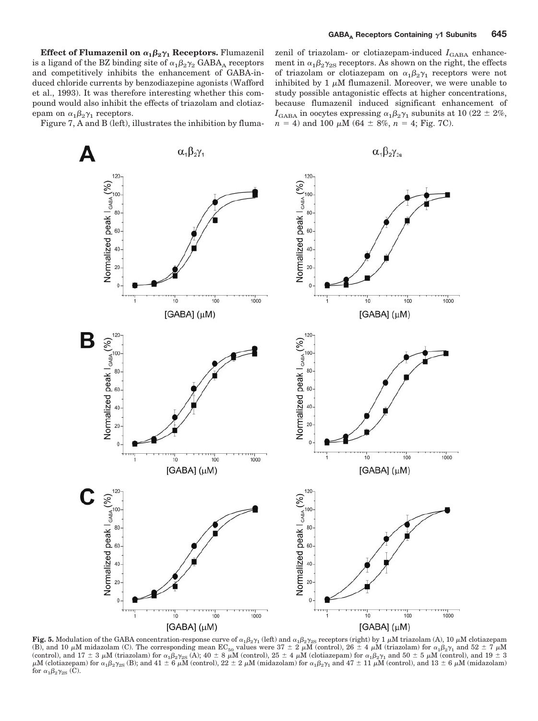**Effect of Flumazenil on**  $\alpha_1\beta_2\gamma_1$  **Receptors. Flumazenil** is a ligand of the BZ binding site of  $\alpha_1\beta_2\gamma_2$  GABA<sub>A</sub> receptors and competitively inhibits the enhancement of GABA-induced chloride currents by benzodiazepine agonists (Wafford et al., 1993). It was therefore interesting whether this compound would also inhibit the effects of triazolam and clotiazepam on  $\alpha_1\beta_2\gamma_1$  receptors.

Figure 7, A and B (left), illustrates the inhibition by fluma-

zenil of triazolam- or clotiazepam-induced  $I_{\text{GABA}}$  enhancement in  $\alpha_1\beta_2\gamma_{2S}$  receptors. As shown on the right, the effects of triazolam or clotiazepam on  $\alpha_1\beta_2\gamma_1$  receptors were not inhibited by 1  $\mu$ M flumazenil. Moreover, we were unable to study possible antagonistic effects at higher concentrations, because flumazenil induced significant enhancement of  $I_{\text{GABA}}$  in oocytes expressing  $\alpha_1\beta_2\gamma_1$  subunits at 10 (22  $\pm$  2%,  $n = 4$ ) and 100  $\mu$ M (64  $\pm$  8%,  $n = 4$ ; Fig. 7C).



Fig. 5. Modulation of the GABA concentration-response curve of  $\alpha_1\beta_2\gamma_1$  (left) and  $\alpha_1\beta_2\gamma_2$ s receptors (right) by 1  $\mu$ M triazolam (A), 10  $\mu$ M clotiazepam (B), and 10  $\mu$ M midazolam (C). The corresponding mean EC<sub>50</sub> values were 37  $\pm$  2  $\mu$ M (control), 26  $\pm$  4  $\mu$ M (triazolam) for  $\alpha_1\beta_2\gamma_1$  and 52  $\pm$  7  $\mu$ M (control), and  $17 \pm 3$   $\mu$ M (triazolam) for  $\alpha_1 \beta_2 \gamma_{2S}$  (A);  $40 \pm 8$   $\mu$ M (control),  $25 \pm 4$   $\mu$ M (clotiazepam) for  $\alpha_1 \beta_2 \gamma_1$  and  $50 \pm 5$   $\mu$ M (control), and  $19 \pm 3$  $\mu$ M (clotiazepam) for  $\alpha_1\beta_2\gamma_{2{\rm S}}$  (B); and 41  $\pm$  6  $\mu$ M (control), 22  $\pm$  2  $\mu$ M (midazolam) for  $\alpha_1\beta_2\gamma_1$  and 47  $\pm$  11  $\mu$ M (control), and 13  $\pm$  6  $\mu$ M (midazolam) for  $\alpha_1\beta_2\gamma_{2S}$  (C).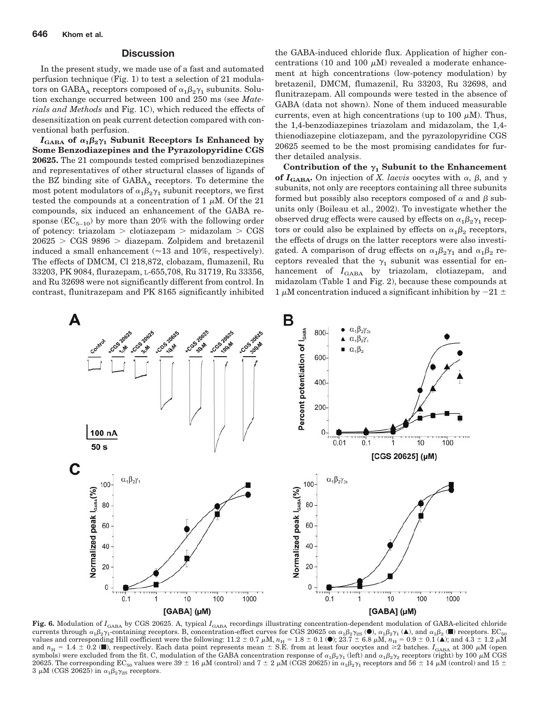### **Discussion**

In the present study, we made use of a fast and automated perfusion technique (Fig. 1) to test a selection of 21 modulators on GABA<sub>A</sub> receptors composed of  $\alpha_1\beta_2\gamma_1$  subunits. Solution exchange occurred between 100 and 250 ms (see *Materials and Methods* and Fig. 1C), which reduced the effects of desensitization on peak current detection compared with conventional bath perfusion.

 $I_{\text{GABA}}$  of  $\alpha_1\beta_2\gamma_1$  Subunit Receptors Is Enhanced by **Some Benzodiazepines and the Pyrazolopyridine CGS 20625.** The 21 compounds tested comprised benzodiazepines and representatives of other structural classes of ligands of the BZ binding site of  $GABA_A$  receptors. To determine the most potent modulators of  $\alpha_1\beta_2\gamma_1$  subunit receptors, we first tested the compounds at a concentration of 1  $\mu$ M. Of the 21 compounds, six induced an enhancement of the GABA response  $(EC_{5-10})$  by more than 20% with the following order of potency: triazolam  $>$  clotiazepam  $>$  midazolam  $>$  CGS  $20625 > CGS 9896 > diazepam. Zolpidem and bretazenil$ induced a small enhancement ( $\approx$ 13 and 10%, respectively). The effects of DMCM, Cl 218,872, clobazam, flumazenil, Ru 33203, PK 9084, flurazepam, L-655,708, Ru 31719, Ru 33356, and Ru 32698 were not significantly different from control. In contrast, flunitrazepam and PK 8165 significantly inhibited

the GABA-induced chloride flux. Application of higher concentrations (10 and 100  $\mu$ M) revealed a moderate enhancement at high concentrations (low-potency modulation) by bretazenil, DMCM, flumazenil, Ru 33203, Ru 32698, and flunitrazepam. All compounds were tested in the absence of GABA (data not shown). None of them induced measurable currents, even at high concentrations (up to 100  $\mu$ M). Thus, the 1,4-benzodiazepines triazolam and midazolam, the 1,4 thienodiazepine clotiazepam, and the pyrazolopyridine CGS 20625 seemed to be the most promising candidates for further detailed analysis.

Contribution of the  $\gamma_1$  Subunit to the Enhancement **of**  $I_{\text{GABA}}$ . On injection of *X. laevis* oocytes with  $\alpha$ ,  $\beta$ , and  $\gamma$ subunits, not only are receptors containing all three subunits formed but possibly also receptors composed of  $\alpha$  and  $\beta$  subunits only (Boileau et al., 2002). To investigate whether the observed drug effects were caused by effects on  $\alpha_1\beta_2\gamma_1$  receptors or could also be explained by effects on  $\alpha_1\beta_2$  receptors, the effects of drugs on the latter receptors were also investigated. A comparison of drug effects on  $\alpha_1\beta_2\gamma_1$  and  $\alpha_1\beta_2$  receptors revealed that the  $\gamma_1$  subunit was essential for enhancement of  $I_{\text{GABA}}$  by triazolam, clotiazepam, and midazolam (Table 1 and Fig. 2), because these compounds at 1  $\mu$ M concentration induced a significant inhibition by  $-21 \pm$ 



Fig. 6. Modulation of *I*<sub>GABA</sub> by CGS 20625. A, typical *I*<sub>GABA</sub> recordings illustrating concentration-dependent modulation of GABA-elicited chloride currents through  $\alpha_1 \beta_2 \gamma_1$ -containing receptors. B, concentration-effect curves for CGS 20625 on  $\alpha_1 \beta_2 \gamma_2$  ( $\bullet$ ),  $\alpha_1 \beta_2 \gamma_1$  ( $\bullet$ ), and  $\alpha_1 \beta_2$  ( $\bullet$ ) receptors. EC<sub>50</sub> values and corresponding Hill coe and  $n_H = 1.4 \pm 0.2$  ( $\blacksquare$ ), respectively. Each data point represents mean  $\pm$  S.E. from at least four oocytes and  $\geq 2$  batches.  $I_{\text{GABA}}$  at 300  $\mu$ M (open symbols) were excluded from the fit. C, modulation of the GABA concentration response of  $\alpha_1\beta_2\gamma_1$  (left) and  $\alpha_1\beta_2\gamma_2$  receptors (right) by 100  $\mu$ M CGS 20625. The corresponding EC<sub>50</sub> values were 39  $\pm$  16  $\mu$ M (control) and 7  $\pm$  2  $\mu$ M (CGS 20625) in  $\alpha^{}_1\beta^{}_2\gamma^{}_1$  receptors and 56  $\pm$  14  $\mu$ M (control) and 15  $\pm$  $3 \mu M$  (CGS 20625) in  $\alpha_1 \beta_2 \gamma_{2S}$  receptors.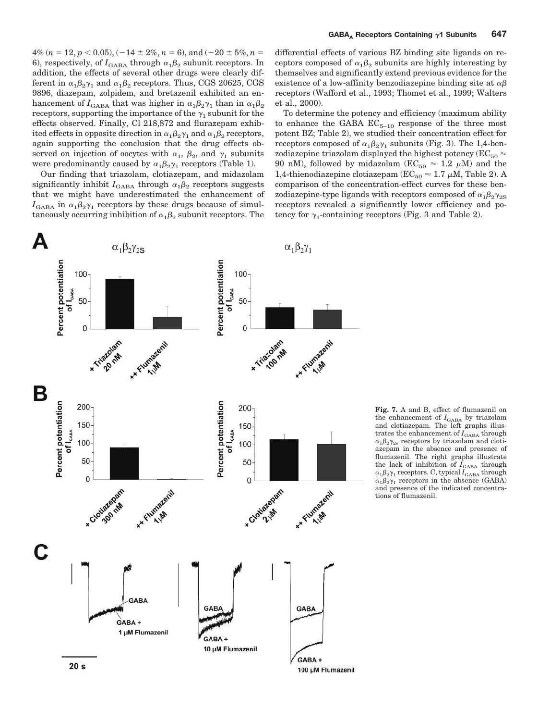$4\%$   $(n = 12, p < 0.05), (-14 \pm 2\%, n = 6), \text{and } (-20 \pm 5\%, n =$ 6), respectively, of  $I_{\text{GABA}}$  through  $\alpha_1\beta_2$  subunit receptors. In addition, the effects of several other drugs were clearly different in  $\alpha_1\beta_2\gamma_1$  and  $\alpha_1\beta_2$  receptors. Thus, CGS 20625, CGS 9896, diazepam, zolpidem, and bretazenil exhibited an enhancement of  $I_{\rm GABA}$  that was higher in  $\alpha_1\beta_2\gamma_1$  than in  $\alpha_1\beta_2$ receptors, supporting the importance of the  $\gamma_1$  subunit for the effects observed. Finally, Cl 218,872 and flurazepam exhibited effects in opposite direction in  $\alpha_1\beta_2\gamma_1$  and  $\alpha_1\beta_2$  receptors, again supporting the conclusion that the drug effects observed on injection of oocytes with  $\alpha_1$ ,  $\beta_2$ , and  $\gamma_1$  subunits were predominantly caused by  $\alpha_1\beta_2\gamma_1$  receptors (Table 1).

Our finding that triazolam, clotiazepam, and midazolam significantly inhibit  $I_{\text{GABA}}$  through  $\alpha_1 \beta_2$  receptors suggests that we might have underestimated the enhancement of  $I_{\text{GABA}}$  in  $\alpha_1\beta_2\gamma_1$  receptors by these drugs because of simultaneously occurring inhibition of  $\alpha_1\beta_2$  subunit receptors. The

differential effects of various BZ binding site ligands on receptors composed of  $\alpha_1\beta_2$  subunits are highly interesting by themselves and significantly extend previous evidence for the existence of a low-affinity benzodiazepine binding site at  $\alpha\beta$ receptors (Wafford et al., 1993; Thomet et al., 1999; Walters et al., 2000).

To determine the potency and efficiency (maximum ability to enhance the GABA  $EC_{5-10}$  response of the three most potent BZ; Table 2), we studied their concentration effect for receptors composed of  $\alpha_1\beta_2\gamma_1$  subunits (Fig. 3). The 1,4-benzodiazepine triazolam displayed the highest potency ( $EC_{50} \approx$ 90 nM), followed by midazolam ( $EC_{50} \approx 1.2 \mu M$ ) and the 1,4-thienodiazepine clotiazepam ( $EC_{50} \approx 1.7 \mu M$ , Table 2). A comparison of the concentration-effect curves for these benzodiazepine-type ligands with receptors composed of  $\alpha_1\beta_2\gamma_{2\mathrm{S}}$ receptors revealed a significantly lower efficiency and potency for  $\gamma_1$ -containing receptors (Fig. 3 and Table 2).



**Fig. 7.** A and B, effect of flumazenil on the enhancement of *I*<sub>GABA</sub> by triazolam<br>and clotiazepam. The left graphs illustrates the enhancement of  $I_{\text{GABA}}$  through  $\alpha_1\beta_2\gamma_{2s}$  receptors by triazolam and clotiazepam in the absence and presence of flumazenil. The right graphs illustrate the lack of inhibition of  $I_{\text{GABA}}$  through  $\alpha_1\beta_2\gamma_1$  receptors. C, typical  $I_\mathrm{GABA}$  through  $\alpha_1\beta_2\gamma_1$  receptors in the absence (GABA) and presence of the indicated concentrations of flumazenil.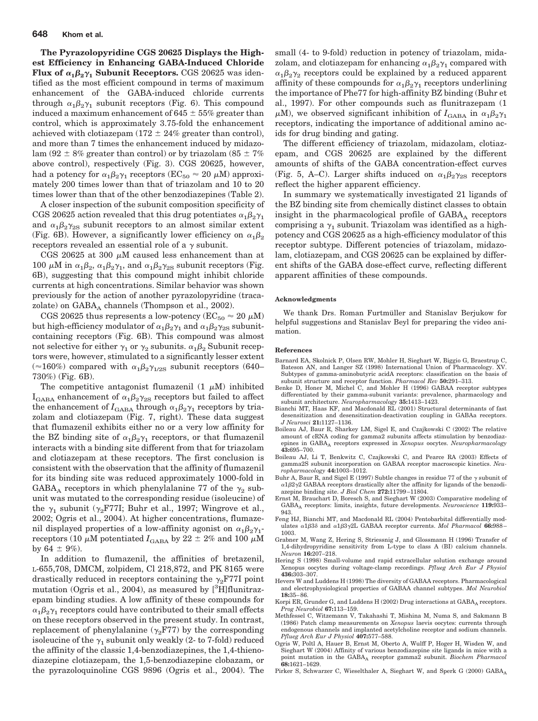**The Pyrazolopyridine CGS 20625 Displays the Highest Efficiency in Enhancing GABA-Induced Chloride Flux of**  $\alpha_1 \beta_2 \gamma_1$  **Subunit Receptors.** CGS 20625 was identified as the most efficient compound in terms of maximum enhancement of the GABA-induced chloride currents through  $\alpha_1\beta_2\gamma_1$  subunit receptors (Fig. 6). This compound induced a maximum enhancement of 645  $\pm$  55% greater than control, which is approximately 3.75-fold the enhancement achieved with clotiazepam  $(172 \pm 24\%$  greater than control), and more than 7 times the enhancement induced by midazolam (92  $\pm$  8% greater than control) or by triazolam (85  $\pm$  7% above control), respectively (Fig. 3). CGS 20625, however, had a potency for  $\alpha_1\beta_2\gamma_1$  receptors (EC<sub>50</sub>  $\approx 20$   $\mu$ M) approximately 200 times lower than that of triazolam and 10 to 20 times lower than that of the other benzodiazepines (Table 2).

A closer inspection of the subunit composition specificity of CGS 20625 action revealed that this drug potentiates  $\alpha_1\beta_2\gamma_1$ and  $\alpha_1\beta_2\gamma_{2S}$  subunit receptors to an almost similar extent (Fig. 6B). However, a significantly lower efficiency on  $\alpha_1\beta_2$ receptors revealed an essential role of a  $\gamma$  subunit.

CGS 20625 at 300  $\mu$ M caused less enhancement than at 100  $\mu$ M in  $\alpha_1\beta_2$ ,  $\alpha_1\beta_2\gamma_1$ , and  $\alpha_1\beta_2\gamma_2$  subunit receptors (Fig. 6B), suggesting that this compound might inhibit chloride currents at high concentrations. Similar behavior was shown previously for the action of another pyrazolopyridine (tracazolate) on  $GABA_A$  channels (Thompson et al., 2002).

CGS 20625 thus represents a low-potency ( $EC_{50} \approx 20 \mu M$ ) but high-efficiency modulator of  $\alpha_1\beta_2\gamma_1$  and  $\alpha_1\beta_2\gamma_{2S}$  subunitcontaining receptors (Fig. 6B). This compound was almost not selective for either  $\gamma_1$  or  $\gamma_2$  subunits.  $\alpha_1\beta_2$  Subunit receptors were, however, stimulated to a significantly lesser extent  $(\approx 160\%)$  compared with  $\alpha_1\beta_2\gamma_{1/2S}$  subunit receptors (640– 730%) (Fig. 6B).

The competitive antagonist flumazenil  $(1 \mu M)$  inhibited  $I_{\text{GABA}}$  enhancement of  $\alpha_1\beta_2\gamma_{2S}$  receptors but failed to affect the enhancement of  $I_{\rm GABA}$  through  $\alpha_1\beta_2\gamma_1$  receptors by triazolam and clotiazepam (Fig. 7, right). These data suggest that flumazenil exhibits either no or a very low affinity for the BZ binding site of  $\alpha_1\beta_2\gamma_1$  receptors, or that flumazenil interacts with a binding site different from that for triazolam and clotiazepam at these receptors. The first conclusion is consistent with the observation that the affinity of flumazenil for its binding site was reduced approximately 1000-fold in GABA<sub>A</sub> receptors in which phenylalanine 77 of the  $\gamma_2$  subunit was mutated to the corresponding residue (isoleucine) of the  $\gamma_1$  subunit ( $\gamma_2$ F77I; Buhr et al., 1997; Wingrove et al., 2002; Ogris et al., 2004). At higher concentrations, flumazenil displayed properties of a low-affinity agonist on  $\alpha_1\beta_2\gamma_1$ receptors (10  $\mu{\rm M}$  potentiated  $I_{\rm GABA}$  by 22  $\pm$  2% and 100  $\mu{\rm M}$ by  $64 \pm 9\%$ ).

In addition to flumazenil, the affinities of bretazenil, L-655,708, DMCM, zolpidem, Cl 218,872, and PK 8165 were drastically reduced in receptors containing the  $\gamma$ <sub>2</sub>F77I point mutation (Ogris et al., 2004), as measured by [<sup>3</sup>H]flunitrazepam binding studies. A low affinity of these compounds for  $\alpha_1\beta_2\gamma_1$  receptors could have contributed to their small effects on these receptors observed in the present study. In contrast, replacement of phenylalanine  $(\gamma_2$ F77) by the corresponding isoleucine of the  $\gamma_1$  subunit only weakly (2- to 7-fold) reduced the affinity of the classic 1,4-benzodiazepines, the 1,4-thienodiazepine clotiazepam, the 1,5-benzodiazepine clobazam, or the pyrazoloquinoline CGS 9896 (Ogris et al., 2004). The

small (4- to 9-fold) reduction in potency of triazolam, midazolam, and clotiazepam for enhancing  $\alpha_1\beta_2\gamma_1$  compared with  $\alpha_1\beta_2\gamma_2$  receptors could be explained by a reduced apparent affinity of these compounds for  $\alpha_1\beta_2\gamma_1$  receptors underlining the importance of Phe77 for high-affinity BZ binding (Buhr et al., 1997). For other compounds such as flunitrazepam (1  $\mu$ M), we observed significant inhibition of  $I_{\text{GABA}}$  in  $\alpha_1\beta_2\gamma_1$ receptors, indicating the importance of additional amino acids for drug binding and gating.

The different efficiency of triazolam, midazolam, clotiazepam, and CGS 20625 are explained by the different amounts of shifts of the GABA concentration-effect curves (Fig. 5, A–C). Larger shifts induced on  $\alpha_1\beta_2\gamma_{2S}$  receptors reflect the higher apparent efficiency.

In summary we systematically investigated 21 ligands of the BZ binding site from chemically distinct classes to obtain insight in the pharmacological profile of  $GABA_A$  receptors comprising a  $\gamma_1$  subunit. Triazolam was identified as a highpotency and CGS 20625 as a high-efficiency modulator of this receptor subtype. Different potencies of triazolam, midazolam, clotiazepam, and CGS 20625 can be explained by different shifts of the GABA dose-effect curve, reflecting different apparent affinities of these compounds.

#### **Acknowledgments**

We thank Drs. Roman Furtmüller and Stanislav Berjukow for helpful suggestions and Stanislav Beyl for preparing the video animation.

#### **References**

- Barnard EA, Skolnick P, Olsen RW, Mohler H, Sieghart W, Biggio G, Braestrup C, Bateson AN, and Langer SZ (1998) International Union of Pharmacology. XV. Subtypes of gamma-aminobutyric acidA receptors: classification on the basis of subunit structure and receptor function. *Pharmacol Rev* **50:**291–313.
- Benke D, Honer M, Michel C, and Mohler H (1996) GABAA receptor subtypes differentiated by their gamma-subunit variants: prevalence, pharmacology and subunit architecture. *Neuropharmacology* **35:**1413–1423.
- Bianchi MT, Haas KF, and Macdonald RL (2001) Structural determinants of fast desensitization and desensitization-deactivation coupling in GABAa receptors. *J Neurosci* **21:**1127–1136.
- Boileau AJ, Baur R, Sharkey LM, Sigel E, and Czajkowski C (2002) The relative amount of cRNA coding for gamma2 subunits affects stimulation by benzodiazepines in GABAA receptors expressed in *Xenopus* oocytes. *Neuropharmacology* **43:**695–700.
- Boileau AJ, Li T, Benkwitz C, Czajkowski C, and Pearce RA (2003) Effects of gamma2S subunit incorporation on GABAA receptor macroscopic kinetics. *Neuropharmacology* **44:**1003–1012.
- Buhr A, Baur R, and Sigel E (1997) Subtle changes in residue 77 of the  $\gamma$  subunit of  $\alpha$ 1 $\beta$ 2 $\gamma$ 2 GABAA receptors drastically alter the affinity for ligands of the benzodiazepine binding site. *J Biol Chem* **272:**11799 –11804.
- Ernst M, Brauchart D, Boresch S, and Sieghart W (2003) Comparative modeling of GABAA receptors: limits, insights, future developments. *Neuroscience* **119:**933– 943.
- Feng HJ, Bianchi MT, and Macdonald RL (2004) Pentobarbital differentially modulates α1β3δ and α1β3γ2L GABAA receptor currents. Mol Pharmacol 66:988– 1003.
- Grabner M, Wang Z, Hering S, Striessnig J, and Glossmann H (1996) Transfer of 1,4-dihydropyridine sensitivity from L-type to class A (BI) calcium channels. *Neuron* **16:**207–218.
- Hering S (1998) Small-volume and rapid extracellular solution exchange around Xenopus oocytes during voltage-clamp recordings. *Pflueg Arch Eur J Physiol* **436:**303–307.
- Hevers W and Luddens H (1998) The diversity of GABAA receptors. Pharmacological and electrophysiological properties of GABAA channel subtypes. *Mol Neurobiol* **18:**35– 86.
- Korpi ER, Grunder G, and Luddens H (2002) Drug interactions at GABA<sub>A</sub> receptors. *Prog Neurobiol* **67:**113–159.
- Methfessel C, Witzemann V, Takahashi T, Mishina M, Numa S, and Sakmann B (1986) Patch clamp measurements on *Xenopus* laevis oocytes: currents through endogenous channels and implanted acetylcholine receptor and sodium channels. *Pflueg Arch Eur J Physiol* **407:**577–588.
- Ogris W, Poltl A, Hauer B, Ernst M, Oberto A, Wulff P, Hoger H, Wisden W, and Sieghart W (2004) Affinity of various benzodiazepine site ligands in mice with a point mutation in the GABAA receptor gamma2 subunit. *Biochem Pharmacol* **68:**1621–1629.
- Pirker S, Schwarzer C, Wieselthaler A, Sieghart W, and Sperk G (2000) GABA<sub>A</sub>